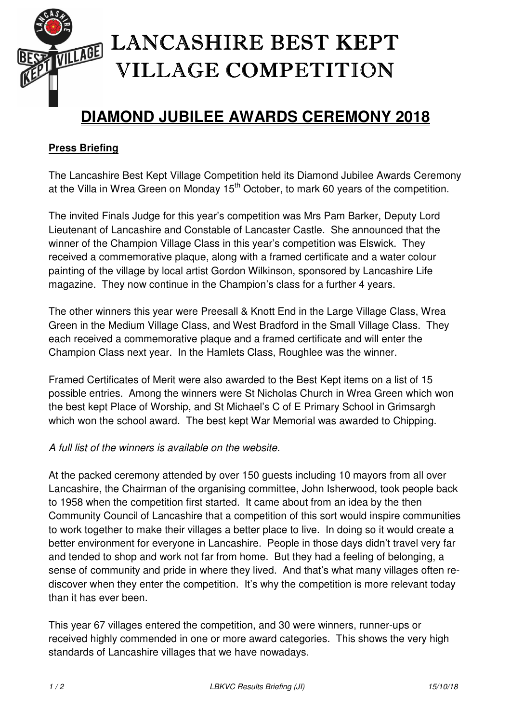

## LANCASHIRE BEST KEPT VILLAGE COMPETITION

## **DIAMOND JUBILEE AWARDS CEREMONY 2018**

## **Press Briefing**

The Lancashire Best Kept Village Competition held its Diamond Jubilee Awards Ceremony at the Villa in Wrea Green on Monday 15<sup>th</sup> October, to mark 60 years of the competition.

The invited Finals Judge for this year's competition was Mrs Pam Barker, Deputy Lord Lieutenant of Lancashire and Constable of Lancaster Castle. She announced that the winner of the Champion Village Class in this year's competition was Elswick. They received a commemorative plaque, along with a framed certificate and a water colour painting of the village by local artist Gordon Wilkinson, sponsored by Lancashire Life magazine. They now continue in the Champion's class for a further 4 years.

The other winners this year were Preesall & Knott End in the Large Village Class, Wrea Green in the Medium Village Class, and West Bradford in the Small Village Class. They each received a commemorative plaque and a framed certificate and will enter the Champion Class next year. In the Hamlets Class, Roughlee was the winner.

Framed Certificates of Merit were also awarded to the Best Kept items on a list of 15 possible entries. Among the winners were St Nicholas Church in Wrea Green which won the best kept Place of Worship, and St Michael's C of E Primary School in Grimsargh which won the school award. The best kept War Memorial was awarded to Chipping.

## A full list of the winners is available on the website.

At the packed ceremony attended by over 150 guests including 10 mayors from all over Lancashire, the Chairman of the organising committee, John Isherwood, took people back to 1958 when the competition first started. It came about from an idea by the then Community Council of Lancashire that a competition of this sort would inspire communities to work together to make their villages a better place to live. In doing so it would create a better environment for everyone in Lancashire. People in those days didn't travel very far and tended to shop and work not far from home. But they had a feeling of belonging, a sense of community and pride in where they lived. And that's what many villages often rediscover when they enter the competition. It's why the competition is more relevant today than it has ever been.

This year 67 villages entered the competition, and 30 were winners, runner-ups or received highly commended in one or more award categories. This shows the very high standards of Lancashire villages that we have nowadays.